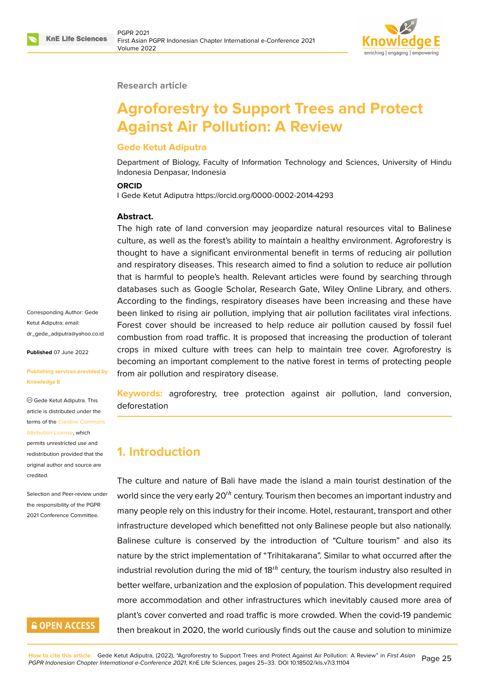

#### **Research article**

# **Agroforestry to Support Trees and Protect Against Air Pollution: A Review**

### **Gede Ketut Adiputra**

Department of Biology, Faculty of Information Technology and Sciences, University of Hindu Indonesia Denpasar, Indonesia

#### **ORCID**

I Gede Ketut Adiputra https://orcid.org/0000-0002-2014-4293

### **Abstract.**

The high rate of land conversion may jeopardize natural resources vital to Balinese culture, as well as the forest's ability to maintain a healthy environment. Agroforestry is thought to have a significant environmental benefit in terms of reducing air pollution and respiratory diseases. This research aimed to find a solution to reduce air pollution that is harmful to people's health. Relevant articles were found by searching through databases such as Google Scholar, Research Gate, Wiley Online Library, and others. According to the findings, respiratory diseases have been increasing and these have been linked to rising air pollution, implying that air pollution facilitates viral infections. Forest cover should be increased to help reduce air pollution caused by fossil fuel combustion from road traffic. It is proposed that increasing the production of tolerant crops in mixed culture with trees can help to maintain tree cover. Agroforestry is becoming an important complement to the native forest in terms of protecting people from air pollution and respiratory disease.

**Keywords:** agroforestry, tree protection against air pollution, land conversion, deforestation

### **1. Introduction**

The culture and nature of Bali have made the island a main tourist destination of the world since the very early  $20<sup>th</sup>$  century. Tourism then becomes an important industry and many people rely on this industry for their income. Hotel, restaurant, transport and other infrastructure developed which benefitted not only Balinese people but also nationally. Balinese culture is conserved by the introduction of "Culture tourism" and also its nature by the strict implementation of "Trihitakarana". Similar to what occurred after the industrial revolution during the mid of  $18<sup>th</sup>$  century, the tourism industry also resulted in better welfare, urbanization and the explosion of population. This development required more accommodation and other infrastructures which inevitably caused more area of plant's cover converted and road traffic is more crowded. When the covid-19 pandemic then breakout in 2020, the world curiously finds out the cause and solution to minimize

Corresponding Author: Gede Ketut Adiputra; email: dr\_gede\_adiputra@yahoo.co.id

**Published** 07 June 2022

#### **[Publishing services provided b](mailto:dr_gede_adiputra@yahoo.co.id)y Knowledge E**

Gede Ketut Adiputra. This article is distributed under the terms of the Creative Commons Attribution License, which

permits unrestricted use and redistribution provided that the original auth[or and source are](https://creativecommons.org/licenses/by/4.0/) [credited.](https://creativecommons.org/licenses/by/4.0/)

Selection and Peer-review under the responsibility of the PGPR 2021 Conference Committee.

# **GOPEN ACCESS**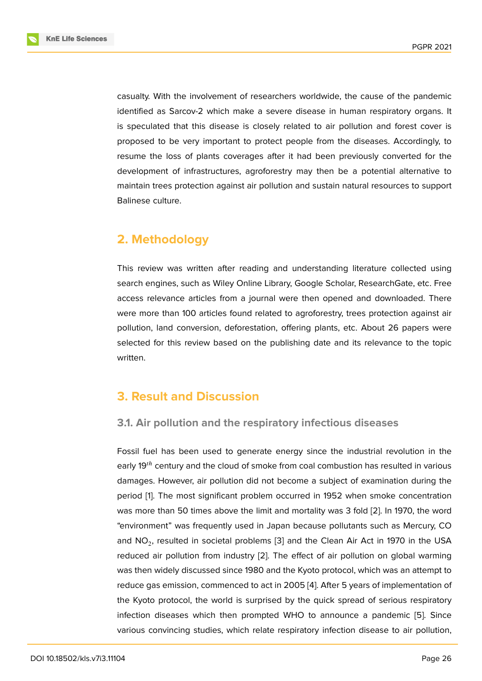casualty. With the involvement of researchers worldwide, the cause of the pandemic identified as Sarcov-2 which make a severe disease in human respiratory organs. It is speculated that this disease is closely related to air pollution and forest cover is proposed to be very important to protect people from the diseases. Accordingly, to resume the loss of plants coverages after it had been previously converted for the development of infrastructures, agroforestry may then be a potential alternative to maintain trees protection against air pollution and sustain natural resources to support Balinese culture.

# **2. Methodology**

This review was written after reading and understanding literature collected using search engines, such as Wiley Online Library, Google Scholar, ResearchGate, etc. Free access relevance articles from a journal were then opened and downloaded. There were more than 100 articles found related to agroforestry, trees protection against air pollution, land conversion, deforestation, offering plants, etc. About 26 papers were selected for this review based on the publishing date and its relevance to the topic written.

# **3. Result and Discussion**

### **3.1. Air pollution and the respiratory infectious diseases**

Fossil fuel has been used to generate energy since the industrial revolution in the early  $19<sup>th</sup>$  century and the cloud of smoke from coal combustion has resulted in various damages. However, air pollution did not become a subject of examination during the period [1]. The most significant problem occurred in 1952 when smoke concentration was more than 50 times above the limit and mortality was 3 fold [2]. In 1970, the word "environment" was frequently used in Japan because pollutants such as Mercury, CO and  $\mathsf{NO}_2$  $\mathsf{NO}_2$  $\mathsf{NO}_2$ , resulted in societal problems [3] and the Clean Air Act in 1970 in the USA reduced air pollution from industry [2]. The effect of air pollutio[n o](#page-6-0)n global warming was then widely discussed since 1980 and the Kyoto protocol, which was an attempt to reduce gas emission, commenced to act [in](#page-6-1) 2005 [4]. After 5 years of implementation of the Kyoto protocol, the world is sur[pr](#page-6-0)ised by the quick spread of serious respiratory infection diseases which then prompted WHO to announce a pandemic [5]. Since various convincing studies, which relate respirat[or](#page-6-2)y infection disease to air pollution,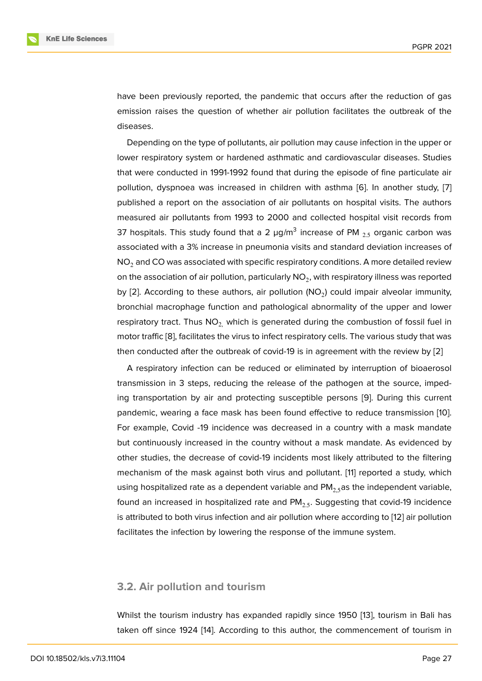have been previously reported, the pandemic that occurs after the reduction of gas emission raises the question of whether air pollution facilitates the outbreak of the diseases.

Depending on the type of pollutants, air pollution may cause infection in the upper or lower respiratory system or hardened asthmatic and cardiovascular diseases. Studies that were conducted in 1991-1992 found that during the episode of fine particulate air pollution, dyspnoea was increased in children with asthma [6]. In another study, [7] published a report on the association of air pollutants on hospital visits. The authors measured air pollutants from 1993 to 2000 and collected hospital visit records from 37 hospitals. This study found that a 2  $\mu$ g/m $^3$  increase of P[M](#page-6-4)  $_{2.5}$  organic carbon w[as](#page-6-5) associated with a 3% increase in pneumonia visits and standard deviation increases of  $NO<sub>2</sub>$  and CO was associated with specific respiratory conditions. A more detailed review on the association of air pollution, particularly  $\mathsf{NO}_2$ , with respiratory illness was reported by [2]. According to these authors, air pollution (NO<sub>2</sub>) could impair alveolar immunity, bronchial macrophage function and pathological abnormality of the upper and lower respiratory tract. Thus  $NO<sub>2</sub>$  which is generated during the combustion of fossil fuel in mo[to](#page-6-0)r traffic [8], facilitates the virus to infect respiratory cells. The various study that was then conducted after the outbreak of covid-19 is in agreement with the review by [2]

A respiratory infection can be reduced or eliminated by interruption of bioaerosol transmission [in](#page-6-6) 3 steps, reducing the release of the pathogen at the source, impeding transportation by air and protecting susceptible persons [9]. During this cu[rre](#page-6-0)nt pandemic, wearing a face mask has been found effective to reduce transmission [10]. For example, Covid -19 incidence was decreased in a country with a mask mandate but continuously increased in the country without a mask man[da](#page-6-7)te. As evidenced by other studies, the decrease of covid-19 incidents most likely attributed to the filte[ring](#page-6-8) mechanism of the mask against both virus and pollutant. [11] reported a study, which using hospitalized rate as a dependent variable and  $PM<sub>2,5</sub>$  as the independent variable, found an increased in hospitalized rate and  $PM<sub>2.5</sub>$ . Suggesting that covid-19 incidence is attributed to both virus infection and air pollution where a[cc](#page-6-9)ording to [12] air pollution facilitates the infection by lowering the response of the immune system.

### **3.2. Air pollution and tourism**

Whilst the tourism industry has expanded rapidly since 1950 [13], tourism in Bali has taken off since 1924 [14]. According to this author, the commencement of tourism in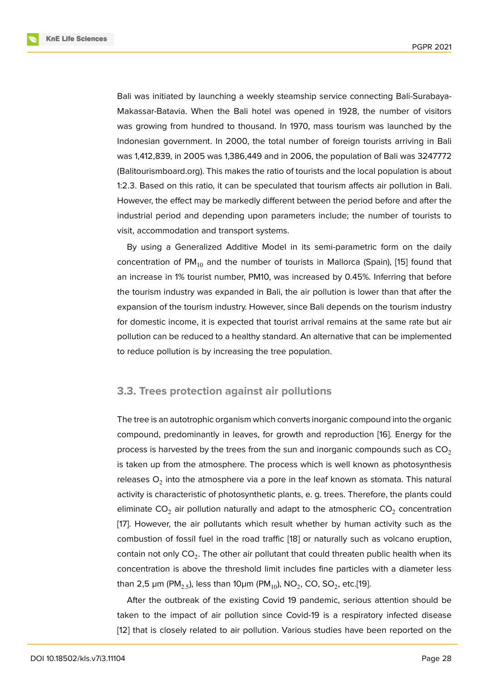Bali was initiated by launching a weekly steamship service connecting Bali-Surabaya-Makassar-Batavia. When the Bali hotel was opened in 1928, the number of visitors was growing from hundred to thousand. In 1970, mass tourism was launched by the Indonesian government. In 2000, the total number of foreign tourists arriving in Bali was 1,412,839, in 2005 was 1,386,449 and in 2006, the population of Bali was 3247772 (Balitourismboard.org). This makes the ratio of tourists and the local population is about 1:2.3. Based on this ratio, it can be speculated that tourism affects air pollution in Bali. However, the effect may be markedly different between the period before and after the industrial period and depending upon parameters include; the number of tourists to visit, accommodation and transport systems.

By using a Generalized Additive Model in its semi-parametric form on the daily concentration of  $PM_{10}$  and the number of tourists in Mallorca (Spain), [15] found that an increase in 1% tourist number, PM10, was increased by 0.45%. Inferring that before the tourism industry was expanded in Bali, the air pollution is lower than that after the expansion of the tourism industry. However, since Bali depends on the t[our](#page-7-0)ism industry for domestic income, it is expected that tourist arrival remains at the same rate but air pollution can be reduced to a healthy standard. An alternative that can be implemented to reduce pollution is by increasing the tree population.

### **3.3. Trees protection against air pollutions**

The tree is an autotrophic organism which converts inorganic compound into the organic compound, predominantly in leaves, for growth and reproduction [16]. Energy for the process is harvested by the trees from the sun and inorganic compounds such as  $CO<sub>2</sub>$ is taken up from the atmosphere. The process which is well known as photosynthesis releases  ${\mathsf O}_2$  into the atmosphere via a pore in the leaf known as st[om](#page-7-1)ata. This natural activity is characteristic of photosynthetic plants, e. g. trees. Therefore, the plants could eliminate CO<sub>2</sub> air pollution naturally and adapt to the atmospheric CO<sub>2</sub> concentration [17]. However, the air pollutants which result whether by human activity such as the combustion of fossil fuel in the road traffic [18] or naturally such as volcano eruption, contain not only  $\mathsf{CO}_2.$  The other air pollutant that could threaten public health when its [con](#page-7-2)centration is above the threshold limit includes fine particles with a diameter less than 2,5 µm (PM $_{2.5}$ ), less than 10µm (PM $_{10}$ ), [NO](#page-7-3) $_{2}$ , CO, SO $_{2}$ , etc.[19].

After the outbreak of the existing Covid 19 pandemic, serious attention should be taken to the impact of air pollution since Covid-19 is a respiratory infected disease [12] that is closely related to air pollution. Various studies hav[e b](#page-7-4)een reported on the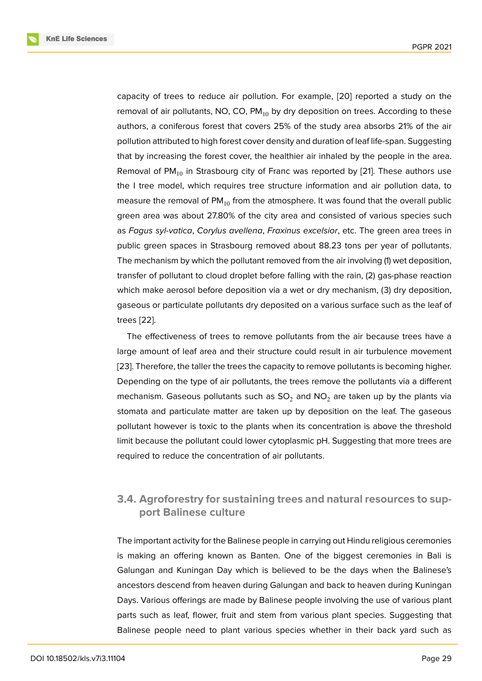capacity of trees to reduce air pollution. For example, [20] reported a study on the removal of air pollutants, NO, CO,  $PM_{10}$  by dry deposition on trees. According to these authors, a coniferous forest that covers 25% of the study area absorbs 21% of the air pollution attributed to high forest cover density and durati[on o](#page-7-5)f leaf life-span. Suggesting that by increasing the forest cover, the healthier air inhaled by the people in the area. Removal of PM $_{10}$  in Strasbourg city of Franc was reported by [21]. These authors use the I tree model, which requires tree structure information and air pollution data, to measure the removal of  $PM_{10}$  from the atmosphere. It was found that the overall public green area was about 27.80% of the city area and consisted [of v](#page-7-6)arious species such as *Fagus syl-vatica*, *Corylus avellena*, *Fraxinus excelsior*, etc. The green area trees in public green spaces in Strasbourg removed about 88.23 tons per year of pollutants. The mechanism by which the pollutant removed from the air involving (1) wet deposition, transfer of pollutant to cloud droplet before falling with the rain, (2) gas-phase reaction which make aerosol before deposition via a wet or dry mechanism, (3) dry deposition, gaseous or particulate pollutants dry deposited on a various surface such as the leaf of trees [22].

The effectiveness of trees to remove pollutants from the air because trees have a large amount of leaf area and their structure could result in air turbulence movement [23]. T[her](#page-7-7)efore, the taller the trees the capacity to remove pollutants is becoming higher. Depending on the type of air pollutants, the trees remove the pollutants via a different mechanism. Gaseous pollutants such as  $SO_2$  and  $NO_2$  are taken up by the plants via [stom](#page-7-8)ata and particulate matter are taken up by deposition on the leaf. The gaseous pollutant however is toxic to the plants when its concentration is above the threshold limit because the pollutant could lower cytoplasmic pH. Suggesting that more trees are required to reduce the concentration of air pollutants.

### **3.4. Agroforestry for sustaining trees and natural resources to support Balinese culture**

The important activity for the Balinese people in carrying out Hindu religious ceremonies is making an offering known as Banten. One of the biggest ceremonies in Bali is Galungan and Kuningan Day which is believed to be the days when the Balinese's ancestors descend from heaven during Galungan and back to heaven during Kuningan Days. Various offerings are made by Balinese people involving the use of various plant parts such as leaf, flower, fruit and stem from various plant species. Suggesting that Balinese people need to plant various species whether in their back yard such as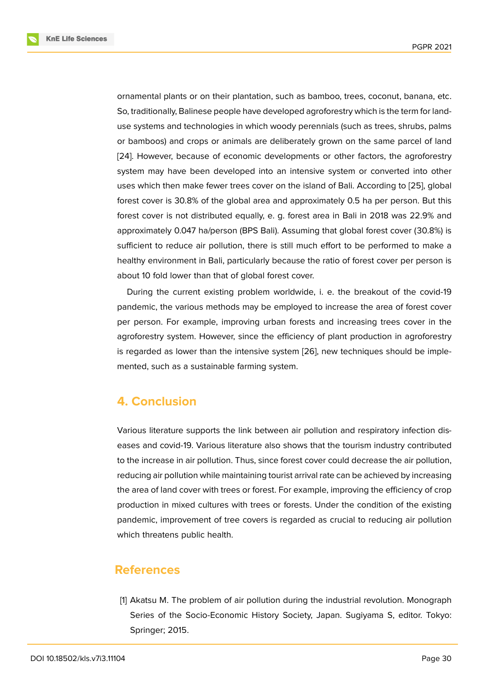ornamental plants or on their plantation, such as bamboo, trees, coconut, banana, etc. So, traditionally, Balinese people have developed agroforestry which is the term for landuse systems and technologies in which woody perennials (such as trees, shrubs, palms or bamboos) and crops or animals are deliberately grown on the same parcel of land [24]. However, because of economic developments or other factors, the agroforestry system may have been developed into an intensive system or converted into other uses which then make fewer trees cover on the island of Bali. According to [25], global [fore](#page-7-9)st cover is 30.8% of the global area and approximately 0.5 ha per person. But this forest cover is not distributed equally, e. g. forest area in Bali in 2018 was 22.9% and approximately 0.047 ha/person (BPS Bali). Assuming that global forest cove[r \(3](#page-7-10)0.8%) is sufficient to reduce air pollution, there is still much effort to be performed to make a healthy environment in Bali, particularly because the ratio of forest cover per person is about 10 fold lower than that of global forest cover.

During the current existing problem worldwide, i. e. the breakout of the covid-19 pandemic, the various methods may be employed to increase the area of forest cover per person. For example, improving urban forests and increasing trees cover in the agroforestry system. However, since the efficiency of plant production in agroforestry is regarded as lower than the intensive system [26], new techniques should be implemented, such as a sustainable farming system.

# **4. Conclusion**

Various literature supports the link between air pollution and respiratory infection diseases and covid-19. Various literature also shows that the tourism industry contributed to the increase in air pollution. Thus, since forest cover could decrease the air pollution, reducing air pollution while maintaining tourist arrival rate can be achieved by increasing the area of land cover with trees or forest. For example, improving the efficiency of crop production in mixed cultures with trees or forests. Under the condition of the existing pandemic, improvement of tree covers is regarded as crucial to reducing air pollution which threatens public health.

### **References**

<span id="page-5-0"></span>[1] Akatsu M. The problem of air pollution during the industrial revolution. Monograph Series of the Socio-Economic History Society, Japan. Sugiyama S, editor. Tokyo: Springer; 2015.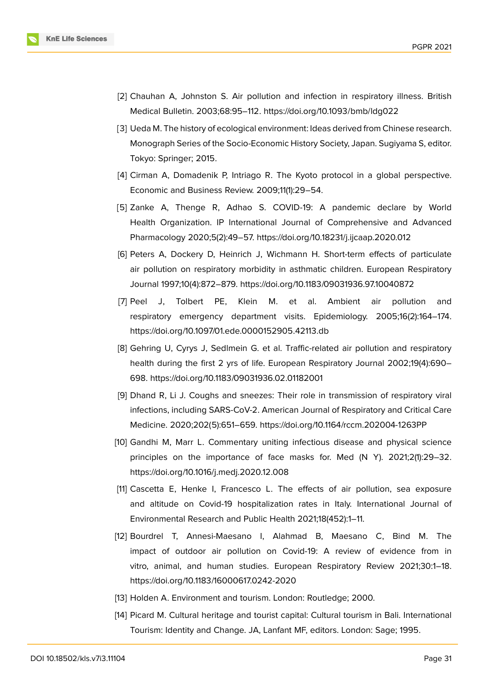

- <span id="page-6-0"></span>[2] Chauhan A, Johnston S. Air pollution and infection in respiratory illness. British Medical Bulletin. 2003;68:95–112. https://doi.org/10.1093/bmb/ldg022
- <span id="page-6-1"></span>[3] Ueda M. The history of ecological environment: Ideas derived from Chinese research. Monograph Series of the Socio-Economic History Society, Japan. Sugiyama S, editor. Tokyo: Springer; 2015.
- <span id="page-6-2"></span>[4] Cirman A, Domadenik P, Intriago R. The Kyoto protocol in a global perspective. Economic and Business Review. 2009;11(1):29–54.
- <span id="page-6-3"></span>[5] Zanke A, Thenge R, Adhao S. COVID-19: A pandemic declare by World Health Organization. IP International Journal of Comprehensive and Advanced Pharmacology 2020;5(2):49–57. https://doi.org/10.18231/j.ijcaap.2020.012
- <span id="page-6-4"></span>[6] Peters A, Dockery D, Heinrich J, Wichmann H. Short-term effects of particulate air pollution on respiratory morbidity in asthmatic children. European Respiratory Journal 1997;10(4):872–879. https://doi.org/10.1183/09031936.97.10040872
- <span id="page-6-5"></span>[7] Peel J, Tolbert PE, Klein M. et al. Ambient air pollution and respiratory emergency department visits. Epidemiology. 2005;16(2):164–174. https://doi.org/10.1097/01.ede.0000152905.42113.db
- <span id="page-6-6"></span>[8] Gehring U, Cyrys J, Sedlmein G. et al. Traffic-related air pollution and respiratory health during the first 2 yrs of life. European Respiratory Journal 2002;19(4):690– 698. https://doi.org/10.1183/09031936.02.01182001
- <span id="page-6-7"></span>[9] Dhand R, Li J. Coughs and sneezes: Their role in transmission of respiratory viral infections, including SARS-CoV-2. American Journal of Respiratory and Critical Care Medicine. 2020;202(5):651–659. https://doi.org/10.1164/rccm.202004-1263PP
- <span id="page-6-8"></span>[10] Gandhi M, Marr L. Commentary uniting infectious disease and physical science principles on the importance of face masks for. Med (N Y). 2021;2(1):29–32. https://doi.org/10.1016/j.medj.2020.12.008
- <span id="page-6-9"></span>[11] Cascetta E, Henke I, Francesco L. The effects of air pollution, sea exposure and altitude on Covid-19 hospitalization rates in Italy. International Journal of Environmental Research and Public Health 2021;18(452):1–11.
- [12] Bourdrel T, Annesi-Maesano I, Alahmad B, Maesano C, Bind M. The impact of outdoor air pollution on Covid-19: A review of evidence from in vitro, animal, and human studies. European Respiratory Review 2021;30:1–18. https://doi.org/10.1183/16000617.0242-2020
- [13] Holden A. Environment and tourism. London: Routledge; 2000.
- [14] Picard M. Cultural heritage and tourist capital: Cultural tourism in Bali. International Tourism: Identity and Change. JA, Lanfant MF, editors. London: Sage; 1995.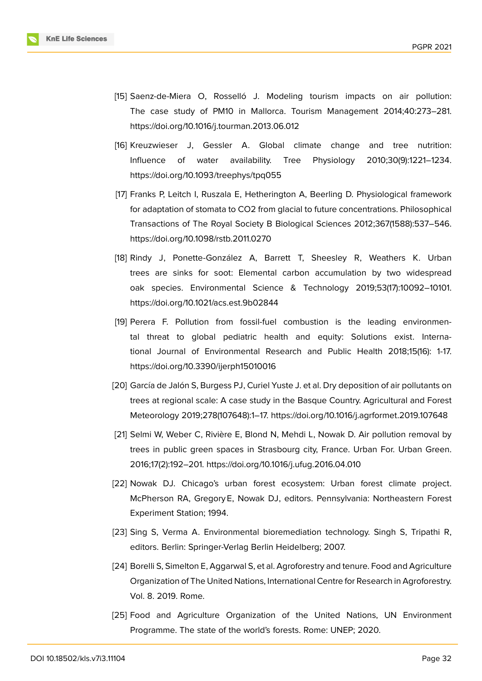

- <span id="page-7-0"></span>[15] Saenz-de-Miera O, Rosselló J. Modeling tourism impacts on air pollution: The case study of PM10 in Mallorca. Tourism Management 2014;40:273–281. https://doi.org/10.1016/j.tourman.2013.06.012
- <span id="page-7-1"></span>[16] Kreuzwieser J, Gessler A. Global climate change and tree nutrition: Influence of water availability. Tree Physiology 2010;30(9):1221–1234. https://doi.org/10.1093/treephys/tpq055
- <span id="page-7-2"></span>[17] Franks P, Leitch I, Ruszala E, Hetherington A, Beerling D. Physiological framework for adaptation of stomata to CO2 from glacial to future concentrations. Philosophical Transactions of The Royal Society B Biological Sciences 2012;367(1588):537–546. https://doi.org/10.1098/rstb.2011.0270
- <span id="page-7-3"></span>[18] Rindy J, Ponette-González A, Barrett T, Sheesley R, Weathers K. Urban trees are sinks for soot: Elemental carbon accumulation by two widespread oak species. Environmental Science & Technology 2019;53(17):10092–10101. https://doi.org/10.1021/acs.est.9b02844
- <span id="page-7-4"></span>[19] Perera F. Pollution from fossil-fuel combustion is the leading environmental threat to global pediatric health and equity: Solutions exist. International Journal of Environmental Research and Public Health 2018;15(16): 1-17. https://doi.org/10.3390/ijerph15010016
- <span id="page-7-5"></span>[20] García de Jalón S, Burgess PJ, Curiel Yuste J. et al. Dry deposition of air pollutants on trees at regional scale: A case study in the Basque Country. Agricultural and Forest Meteorology 2019;278(107648):1–17. https://doi.org/10.1016/j.agrformet.2019.107648
- <span id="page-7-6"></span>[21] Selmi W, Weber C, Rivière E, Blond N, Mehdi L, Nowak D. Air pollution removal by trees in public green spaces in Strasbourg city, France. Urban For. Urban Green. 2016;17(2):192–201. https://doi.org/10.1016/j.ufug.2016.04.010
- <span id="page-7-7"></span>[22] Nowak DJ. Chicago's urban forest ecosystem: Urban forest climate project. McPherson RA, Gregory E, Nowak DJ, editors. Pennsylvania: Northeastern Forest Experiment Station; 1994.
- <span id="page-7-8"></span>[23] Sing S, Verma A. Environmental bioremediation technology. Singh S, Tripathi R, editors. Berlin: Springer-Verlag Berlin Heidelberg; 2007.
- <span id="page-7-9"></span>[24] Borelli S, Simelton E, Aggarwal S, et al. Agroforestry and tenure. Food and Agriculture Organization of The United Nations, International Centre for Research in Agroforestry. Vol. 8. 2019. Rome.
- <span id="page-7-10"></span>[25] Food and Agriculture Organization of the United Nations, UN Environment Programme. The state of the world's forests. Rome: UNEP; 2020.